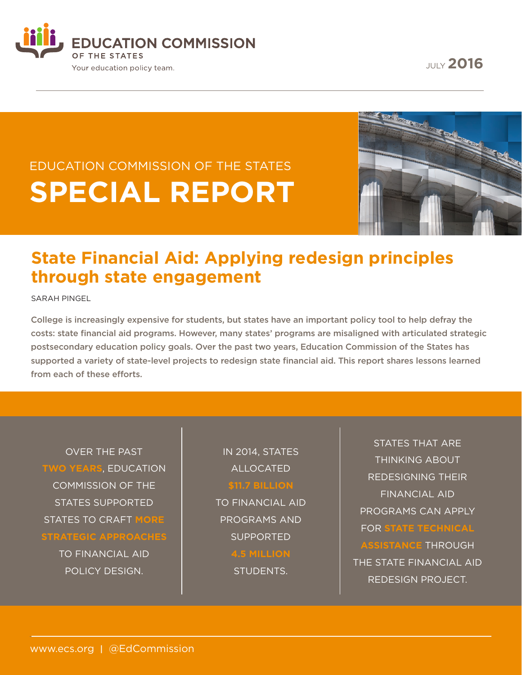**EDUCATION COMMISSION** OF THE STATES Your education policy team.

JULY **2016**

# EDUCATION COMMISSION OF THE STATES **SPECIAL REPORT**



## **State Financial Aid: Applying redesign principles through state engagement**

SARAH PINGEL

College is increasingly expensive for students, but states have an important policy tool to help defray the costs: state financial aid programs. However, many states' programs are misaligned with articulated strategic postsecondary education policy goals. Over the past two years, Education Commission of the States has supported a variety of state-level projects to redesign state financial aid. This report shares lessons learned from each of these efforts.

OVER THE PAST **TWO YEARS**, EDUCATION COMMISSION OF THE STATES SUPPORTED STATES TO CRAFT **MORE STRATEGIC APPROACHES**

> TO FINANCIAL AID POLICY DESIGN.

IN 2014, STATES ALLOCATED

#### **\$11.7 BILLION**

TO FINANCIAL AID PROGRAMS AND SUPPORTED

**4.5 MILLION**

STUDENTS.

STATES THAT ARE THINKING ABOUT REDESIGNING THEIR FINANCIAL AID PROGRAMS CAN APPLY FOR **STATE TECHNICAL ASSISTANCE** THROUGH THE STATE FINANCIAL AID REDESIGN PROJECT.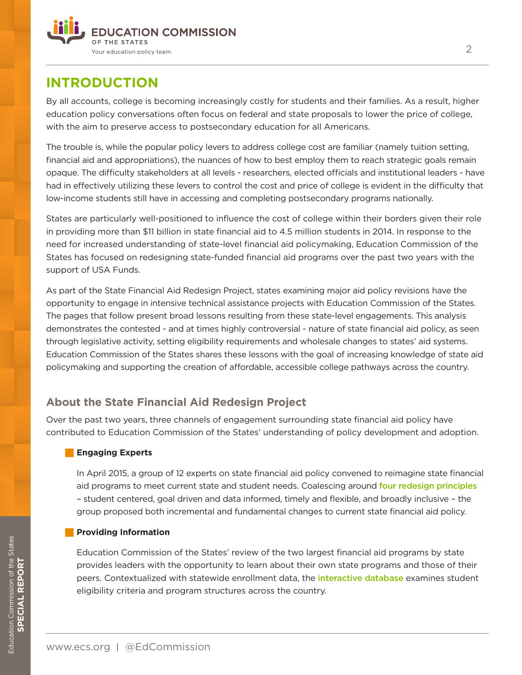

## **INTRODUCTION**

By all accounts, college is becoming increasingly costly for students and their families. As a result, higher education policy conversations often focus on federal and state proposals to lower the price of college, with the aim to preserve access to postsecondary education for all Americans.

The trouble is, while the popular policy levers to address college cost are familiar (namely tuition setting, financial aid and appropriations), the nuances of how to best employ them to reach strategic goals remain opaque. The difficulty stakeholders at all levels - researchers, elected officials and institutional leaders - have had in effectively utilizing these levers to control the cost and price of college is evident in the difficulty that low-income students still have in accessing and completing postsecondary programs nationally.

States are particularly well-positioned to influence the cost of college within their borders given their role in providing more than \$11 billion in state financial aid to 4.5 million students in 2014. In response to the need for increased understanding of state-level financial aid policymaking, Education Commission of the States has focused on redesigning state-funded financial aid programs over the past two years with the support of USA Funds.

As part of the State Financial Aid Redesign Project, states examining major aid policy revisions have the opportunity to engage in intensive technical assistance projects with Education Commission of the States. The pages that follow present broad lessons resulting from these state-level engagements. This analysis demonstrates the contested - and at times highly controversial - nature of state financial aid policy, as seen through legislative activity, setting eligibility requirements and wholesale changes to states' aid systems. Education Commission of the States shares these lessons with the goal of increasing knowledge of state aid policymaking and supporting the creation of affordable, accessible college pathways across the country.

### **About the State Financial Aid Redesign Project**

Over the past two years, three channels of engagement surrounding state financial aid policy have contributed to Education Commission of the States' understanding of policy development and adoption.

#### **Figure 5 Experts**

In April 2015, a group of 12 experts on state financial aid policy convened to reimagine state financial aid programs to meet current state and student needs. Coalescing around [four redesign principles](http://www.ecs.org/redesigning-state-financial-aid-principles-to-guide-state-aid-policymaking/) – student centered, goal driven and data informed, timely and flexible, and broadly inclusive – the group proposed both incremental and fundamental changes to current state financial aid policy.

#### **Providing Information**

Education Commission of the States' review of the two largest financial aid programs by state provides leaders with the opportunity to learn about their own state programs and those of their peers. Contextualized with statewide enrollment data, the *[interactive database](http://statefinancialaidredesign.org/state-financial-aid-database/)* examines student eligibility criteria and program structures across the country.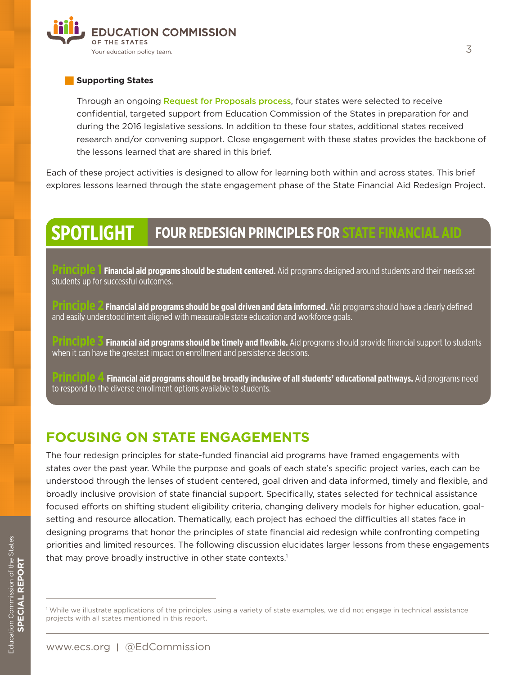

#### **Supporting States**

Through an ongoing **[Request for Proposals process](https://www.surveymonkey.com/r/XYTC6NV)**, four states were selected to receive confidential, targeted support from Education Commission of the States in preparation for and during the 2016 legislative sessions. In addition to these four states, additional states received research and/or convening support. Close engagement with these states provides the backbone of the lessons learned that are shared in this brief.

Each of these project activities is designed to allow for learning both within and across states. This brief explores lessons learned through the state engagement phase of the State Financial Aid Redesign Project.

#### **SPOTLIGHT FOUR REDESIGN PRINCIPLES FOR STATE FINANCIAL AID**

**Financial aid programs should be student centered.** Aid programs designed around students and their needs set students up for successful outcomes.

**Prinancial aid programs should be goal driven and data informed.** Aid programs should have a clearly defined and easily understood intent aligned with measurable state education and workforce goals.

**Financial aid programs should be timely and flexible.** Aid programs should provide financial support to students when it can have the greatest impact on enrollment and persistence decisions.

**Principle 4 Financial aid programs should be broadly inclusive of all students' educational pathways.** Aid programs need to respond to the diverse enrollment options available to students.

### **FOCUSING ON STATE ENGAGEMENTS**

The four redesign principles for state-funded financial aid programs have framed engagements with states over the past year. While the purpose and goals of each state's specific project varies, each can be understood through the lenses of student centered, goal driven and data informed, timely and flexible, and broadly inclusive provision of state financial support. Specifically, states selected for technical assistance focused efforts on shifting student eligibility criteria, changing delivery models for higher education, goalsetting and resource allocation. Thematically, each project has echoed the difficulties all states face in designing programs that honor the principles of state financial aid redesign while confronting competing priorities and limited resources. The following discussion elucidates larger lessons from these engagements that may prove broadly instructive in other state contexts.<sup>1</sup>

<sup>1</sup> While we illustrate applications of the principles using a variety of state examples, we did not engage in technical assistance projects with all states mentioned in this report.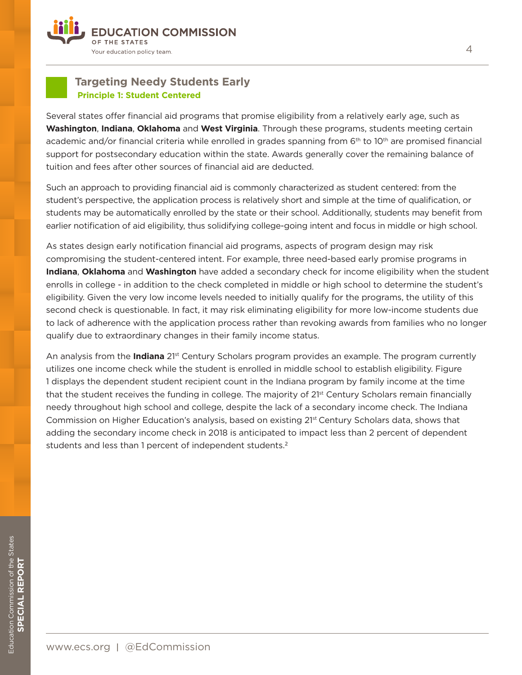

#### **Targeting Needy Students Early Principle 1: Student Centered**

Several states offer financial aid programs that promise eligibility from a relatively early age, such as **Washington**, **Indiana**, **Oklahoma** and **West Virginia**. Through these programs, students meeting certain academic and/or financial criteria while enrolled in grades spanning from 6<sup>th</sup> to 10<sup>th</sup> are promised financial support for postsecondary education within the state. Awards generally cover the remaining balance of tuition and fees after other sources of financial aid are deducted.

Such an approach to providing financial aid is commonly characterized as student centered: from the student's perspective, the application process is relatively short and simple at the time of qualification, or students may be automatically enrolled by the state or their school. Additionally, students may benefit from earlier notification of aid eligibility, thus solidifying college-going intent and focus in middle or high school.

As states design early notification financial aid programs, aspects of program design may risk compromising the student-centered intent. For example, three need-based early promise programs in **Indiana**, **Oklahoma** and **Washington** have added a secondary check for income eligibility when the student enrolls in college - in addition to the check completed in middle or high school to determine the student's eligibility. Given the very low income levels needed to initially qualify for the programs, the utility of this second check is questionable. In fact, it may risk eliminating eligibility for more low-income students due to lack of adherence with the application process rather than revoking awards from families who no longer qualify due to extraordinary changes in their family income status.

An analysis from the **Indiana** 21st Century Scholars program provides an example. The program currently utilizes one income check while the student is enrolled in middle school to establish eligibility. Figure 1 displays the dependent student recipient count in the Indiana program by family income at the time that the student receives the funding in college. The majority of 21st Century Scholars remain financially needy throughout high school and college, despite the lack of a secondary income check. The Indiana Commission on Higher Education's analysis, based on existing 2<sup>1st</sup> Century Scholars data, shows that adding the secondary income check in 2018 is anticipated to impact less than 2 percent of dependent students and less than 1 percent of independent students.<sup>2</sup>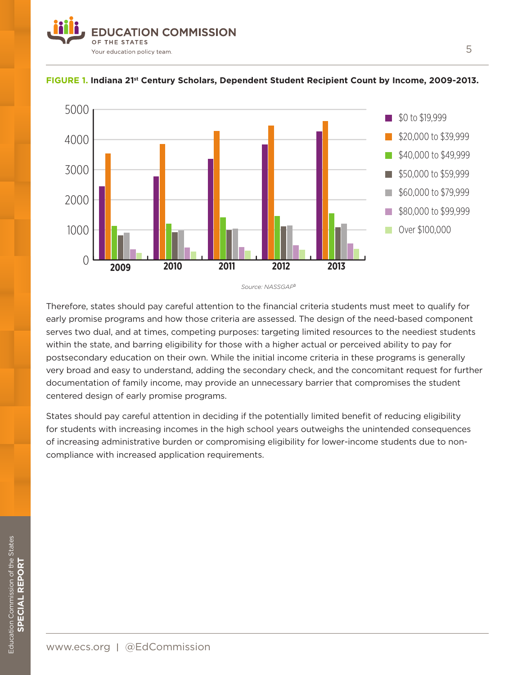



#### **FIGURE 1. Indiana 21st Century Scholars, Dependent Student Recipient Count by Income, 2009-2013.**

*Source: NASSGAP*<sup>3</sup>

Therefore, states should pay careful attention to the financial criteria students must meet to qualify for early promise programs and how those criteria are assessed. The design of the need-based component serves two dual, and at times, competing purposes: targeting limited resources to the neediest students within the state, and barring eligibility for those with a higher actual or perceived ability to pay for postsecondary education on their own. While the initial income criteria in these programs is generally very broad and easy to understand, adding the secondary check, and the concomitant request for further documentation of family income, may provide an unnecessary barrier that compromises the student centered design of early promise programs.

States should pay careful attention in deciding if the potentially limited benefit of reducing eligibility for students with increasing incomes in the high school years outweighs the unintended consequences of increasing administrative burden or compromising eligibility for lower-income students due to noncompliance with increased application requirements.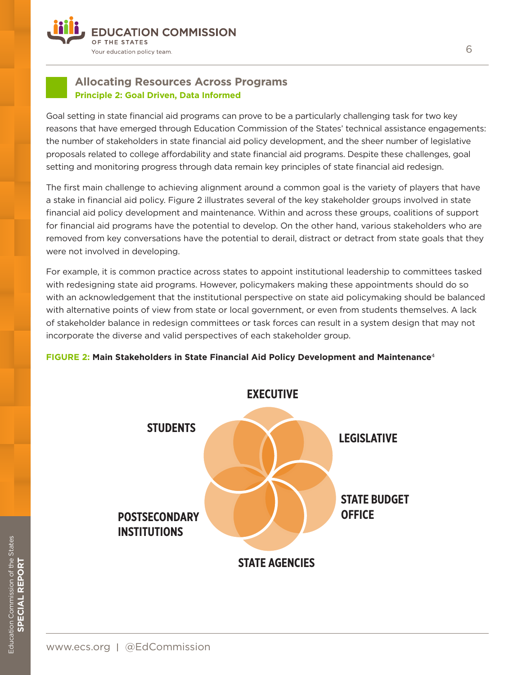

#### **Allocating Resources Across Programs Principle 2: Goal Driven, Data Informed**

Goal setting in state financial aid programs can prove to be a particularly challenging task for two key reasons that have emerged through Education Commission of the States' technical assistance engagements: the number of stakeholders in state financial aid policy development, and the sheer number of legislative proposals related to college affordability and state financial aid programs. Despite these challenges, goal setting and monitoring progress through data remain key principles of state financial aid redesign.

The first main challenge to achieving alignment around a common goal is the variety of players that have a stake in financial aid policy. Figure 2 illustrates several of the key stakeholder groups involved in state financial aid policy development and maintenance. Within and across these groups, coalitions of support for financial aid programs have the potential to develop. On the other hand, various stakeholders who are removed from key conversations have the potential to derail, distract or detract from state goals that they were not involved in developing.

For example, it is common practice across states to appoint institutional leadership to committees tasked with redesigning state aid programs. However, policymakers making these appointments should do so with an acknowledgement that the institutional perspective on state aid policymaking should be balanced with alternative points of view from state or local government, or even from students themselves. A lack of stakeholder balance in redesign committees or task forces can result in a system design that may not incorporate the diverse and valid perspectives of each stakeholder group.

#### **FIGURE 2: Main Stakeholders in State Financial Aid Policy Development and Maintenance**<sup>4</sup>

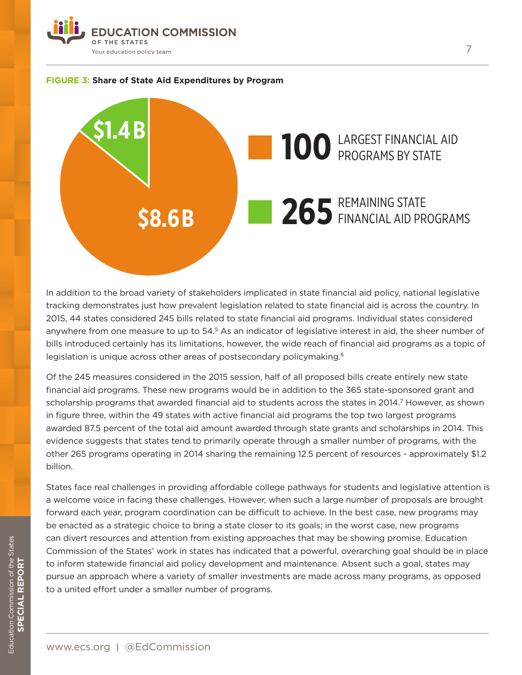





In addition to the broad variety of stakeholders implicated in state financial aid policy, national legislative tracking demonstrates just how prevalent legislation related to state financial aid is across the country. In 2015, 44 states considered 245 bills related to state financial aid programs. Individual states considered anywhere from one measure to up to 54.<sup>5</sup> As an indicator of legislative interest in aid, the sheer number of bills introduced certainly has its limitations, however, the wide reach of financial aid programs as a topic of legislation is unique across other areas of postsecondary policymaking.<sup>6</sup>

Of the 245 measures considered in the 2015 session, half of all proposed bills create entirely new state financial aid programs. These new programs would be in addition to the 365 state-sponsored grant and scholarship programs that awarded financial aid to students across the states in 2014.<sup>7</sup> However, as shown in figure three, within the 49 states with active financial aid programs the top two largest programs awarded 87.5 percent of the total aid amount awarded through state grants and scholarships in 2014. This evidence suggests that states tend to primarily operate through a smaller number of programs, with the other 265 programs operating in 2014 sharing the remaining 12.5 percent of resources - approximately \$1.2 billion.

States face real challenges in providing affordable college pathways for students and legislative attention is a welcome voice in facing these challenges. However, when such a large number of proposals are brought forward each year, program coordination can be difficult to achieve. In the best case, new programs may be enacted as a strategic choice to bring a state closer to its goals; in the worst case, new programs can divert resources and attention from existing approaches that may be showing promise. Education Commission of the States' work in states has indicated that a powerful, overarching goal should be in place to inform statewide financial aid policy development and maintenance. Absent such a goal, states may pursue an approach where a variety of smaller investments are made across many programs, as opposed to a united effort under a smaller number of programs.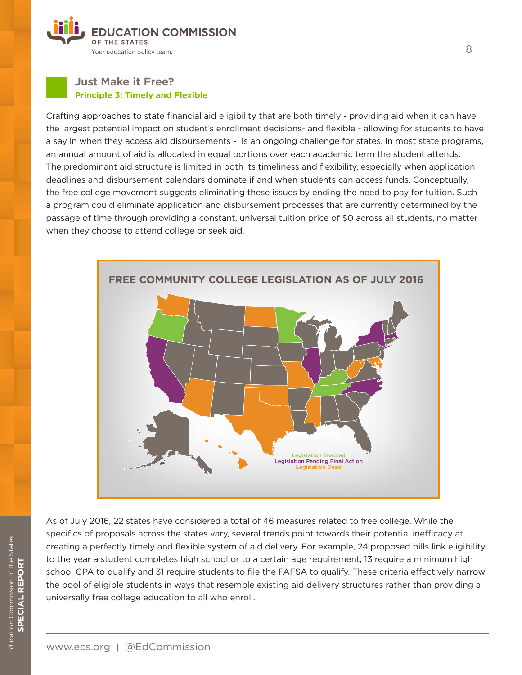

#### **Just Make it Free? Principle 3: Timely and Flexible**

Crafting approaches to state financial aid eligibility that are both timely - providing aid when it can have the largest potential impact on student's enrollment decisions- and flexible - allowing for students to have a say in when they access aid disbursements - is an ongoing challenge for states. In most state programs, an annual amount of aid is allocated in equal portions over each academic term the student attends. The predominant aid structure is limited in both its timeliness and flexibility, especially when application deadlines and disbursement calendars dominate if and when students can access funds. Conceptually, the free college movement suggests eliminating these issues by ending the need to pay for tuition. Such a program could eliminate application and disbursement processes that are currently determined by the passage of time through providing a constant, universal tuition price of \$0 across all students, no matter when they choose to attend college or seek aid.



As of July 2016, 22 states have considered a total of 46 measures related to free college. While the specifics of proposals across the states vary, several trends point towards their potential inefficacy at creating a perfectly timely and flexible system of aid delivery. For example, 24 proposed bills link eligibility to the year a student completes high school or to a certain age requirement, 13 require a minimum high school GPA to qualify and 31 require students to file the FAFSA to qualify. These criteria effectively narrow the pool of eligible students in ways that resemble existing aid delivery structures rather than providing a universally free college education to all who enroll.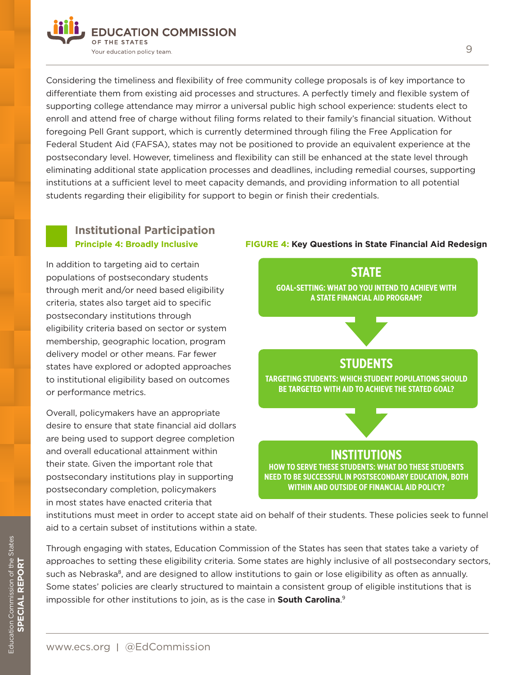

Considering the timeliness and flexibility of free community college proposals is of key importance to differentiate them from existing aid processes and structures. A perfectly timely and flexible system of supporting college attendance may mirror a universal public high school experience: students elect to enroll and attend free of charge without filing forms related to their family's financial situation. Without foregoing Pell Grant support, which is currently determined through filing the Free Application for Federal Student Aid (FAFSA), states may not be positioned to provide an equivalent experience at the postsecondary level. However, timeliness and flexibility can still be enhanced at the state level through eliminating additional state application processes and deadlines, including remedial courses, supporting institutions at a sufficient level to meet capacity demands, and providing information to all potential students regarding their eligibility for support to begin or finish their credentials.

#### **Institutional Participation Principle 4: Broadly Inclusive**

In addition to targeting aid to certain populations of postsecondary students through merit and/or need based eligibility criteria, states also target aid to specific postsecondary institutions through eligibility criteria based on sector or system membership, geographic location, program delivery model or other means. Far fewer states have explored or adopted approaches to institutional eligibility based on outcomes or performance metrics.

Overall, policymakers have an appropriate desire to ensure that state financial aid dollars are being used to support degree completion and overall educational attainment within their state. Given the important role that postsecondary institutions play in supporting postsecondary completion, policymakers in most states have enacted criteria that

#### **FIGURE 4: Key Questions in State Financial Aid Redesign**



institutions must meet in order to accept state aid on behalf of their students. These policies seek to funnel aid to a certain subset of institutions within a state.

Through engaging with states, Education Commission of the States has seen that states take a variety of approaches to setting these eligibility criteria. Some states are highly inclusive of all postsecondary sectors, such as Nebraska<sup>8</sup>, and are designed to allow institutions to gain or lose eligibility as often as annually. Some states' policies are clearly structured to maintain a consistent group of eligible institutions that is impossible for other institutions to join, as is the case in **South Carolina**. 9

www.ecs.org | @EdCommission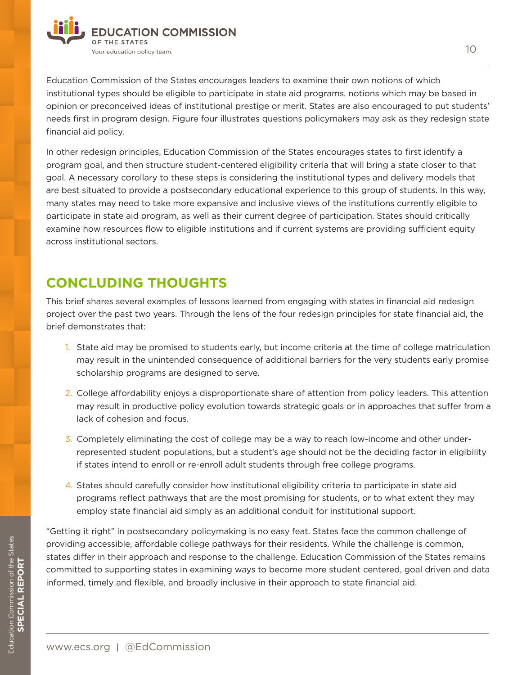

Education Commission of the States encourages leaders to examine their own notions of which institutional types should be eligible to participate in state aid programs, notions which may be based in opinion or preconceived ideas of institutional prestige or merit. States are also encouraged to put students' needs first in program design. Figure four illustrates questions policymakers may ask as they redesign state financial aid policy.

In other redesign principles, Education Commission of the States encourages states to first identify a program goal, and then structure student-centered eligibility criteria that will bring a state closer to that goal. A necessary corollary to these steps is considering the institutional types and delivery models that are best situated to provide a postsecondary educational experience to this group of students. In this way, many states may need to take more expansive and inclusive views of the institutions currently eligible to participate in state aid program, as well as their current degree of participation. States should critically examine how resources flow to eligible institutions and if current systems are providing sufficient equity across institutional sectors.

## **CONCLUDING THOUGHTS**

This brief shares several examples of lessons learned from engaging with states in financial aid redesign project over the past two years. Through the lens of the four redesign principles for state financial aid, the brief demonstrates that:

- 1. State aid may be promised to students early, but income criteria at the time of college matriculation may result in the unintended consequence of additional barriers for the very students early promise scholarship programs are designed to serve.
- 2. College affordability enjoys a disproportionate share of attention from policy leaders. This attention may result in productive policy evolution towards strategic goals or in approaches that suffer from a lack of cohesion and focus.
- 3. Completely eliminating the cost of college may be a way to reach low-income and other underrepresented student populations, but a student's age should not be the deciding factor in eligibility if states intend to enroll or re-enroll adult students through free college programs.
- 4. States should carefully consider how institutional eligibility criteria to participate in state aid programs reflect pathways that are the most promising for students, or to what extent they may employ state financial aid simply as an additional conduit for institutional support.

"Getting it right" in postsecondary policymaking is no easy feat. States face the common challenge of providing accessible, affordable college pathways for their residents. While the challenge is common, states differ in their approach and response to the challenge. Education Commission of the States remains committed to supporting states in examining ways to become more student centered, goal driven and data informed, timely and flexible, and broadly inclusive in their approach to state financial aid.